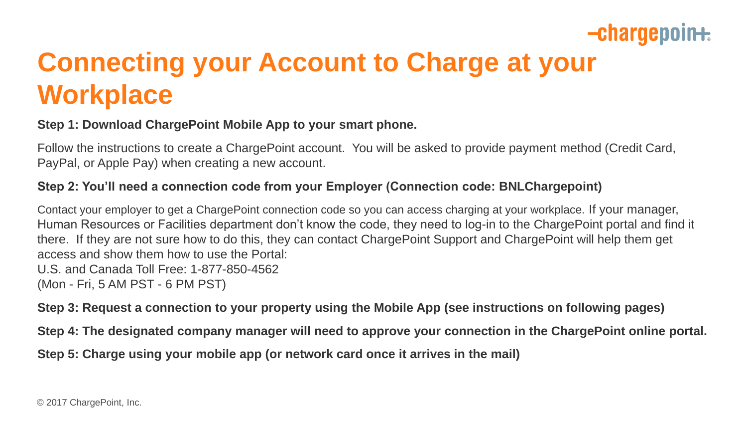## $-**charge point**$

# **Connecting your Account to Charge at your Workplace**

### **Step 1: Download ChargePoint Mobile App to your smart phone.**

Follow the instructions to create a ChargePoint account. You will be asked to provide payment method (Credit Card, PayPal, or Apple Pay) when creating a new account.

### **Step 2: You'll need a connection code from your Employer (Connection code: BNLChargepoint)**

Contact your employer to get a ChargePoint connection code so you can access charging at your workplace. If your manager, Human Resources or Facilities department don't know the code, they need to log-in to the ChargePoint portal and find it there. If they are not sure how to do this, they can contact ChargePoint Support and ChargePoint will help them get access and show them how to use the Portal: U.S. and Canada Toll Free: 1-877-850-4562 (Mon - Fri, 5 AM PST - 6 PM PST)

**Step 3: Request a connection to your property using the Mobile App (see instructions on following pages)**

**Step 4: The designated company manager will need to approve your connection in the ChargePoint online portal.** 

**Step 5: Charge using your mobile app (or network card once it arrives in the mail)**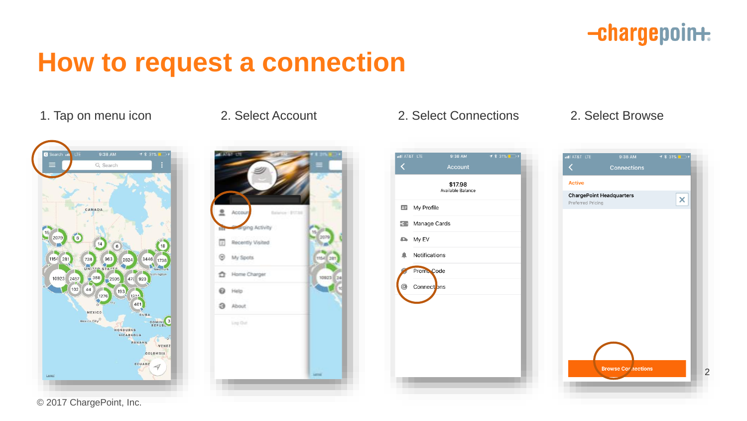## -chargepoin+

# **How to request a connection**





### 1. Tap on menu icon 2. Select Account 2. Select Connections 2. Select Browse

| atl AT&T LTE | 9:38 AM<br><b>Account</b>    | <b>イ</b> * 31% ■ + |
|--------------|------------------------------|--------------------|
|              | \$17.98<br>Available Balance |                    |
| 2日           | My Profile                   |                    |
| $-c$ -       | Manage Cards                 |                    |
| o.           | My EV                        |                    |
|              | Notifications                |                    |
|              | Promo Code                   |                    |
| €            | Connect ons                  |                    |
|              |                              |                    |
|              |                              |                    |
|              |                              |                    |
|              |                              |                    |
|              |                              |                    |
|              |                              |                    |



© 2017 ChargePoint, Inc.